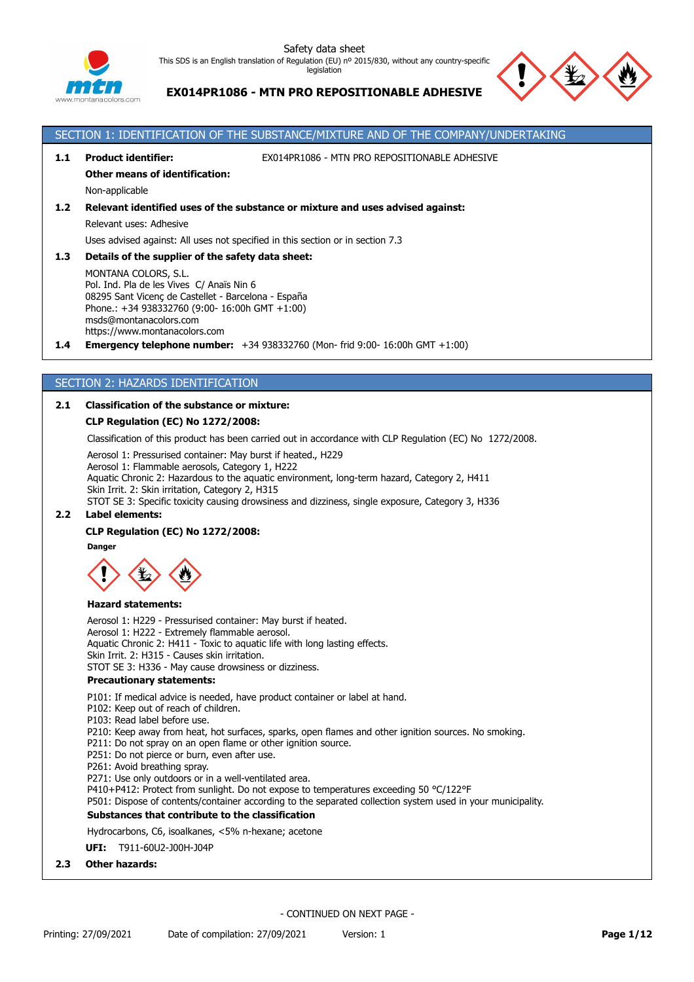

legislation

# **EX014PR1086 - MTN PRO REPOSITIONABLE ADHESIVE**



# SECTION 1: IDENTIFICATION OF THE SUBSTANCE/MIXTURE AND OF THE COMPANY/UNDERTAKING

**1.1 Product identifier:** EX014PR1086 - MTN PRO REPOSITIONABLE ADHESIVE

**Other means of identification:**

Non-applicable

# **1.2 Relevant identified uses of the substance or mixture and uses advised against:**

Relevant uses: Adhesive

Uses advised against: All uses not specified in this section or in section 7.3

### **1.3 Details of the supplier of the safety data sheet:**

MONTANA COLORS, S.L. Pol. Ind. Pla de les Vives C/ Anaïs Nin 6 08295 Sant Vicenç de Castellet - Barcelona - España Phone.: +34 938332760 (9:00- 16:00h GMT +1:00) msds@montanacolors.com https://www.montanacolors.com

**1.4 Emergency telephone number:** +34 938332760 (Mon- frid 9:00- 16:00h GMT +1:00)

# SECTION 2: HAZARDS IDENTIFICATION

# **2.1 Classification of the substance or mixture:**

### **CLP Regulation (EC) No 1272/2008:**

Classification of this product has been carried out in accordance with CLP Regulation (EC) No 1272/2008.

Aerosol 1: Pressurised container: May burst if heated., H229 Aerosol 1: Flammable aerosols, Category 1, H222 Aquatic Chronic 2: Hazardous to the aquatic environment, long-term hazard, Category 2, H411 Skin Irrit. 2: Skin irritation, Category 2, H315 STOT SE 3: Specific toxicity causing drowsiness and dizziness, single exposure, Category 3, H336

# **2.2 Label elements:**

#### **CLP Regulation (EC) No 1272/2008:**

**Danger**



#### **Hazard statements:**

Aerosol 1: H229 - Pressurised container: May burst if heated. Aerosol 1: H222 - Extremely flammable aerosol. Aquatic Chronic 2: H411 - Toxic to aquatic life with long lasting effects. Skin Irrit. 2: H315 - Causes skin irritation. STOT SE 3: H336 - May cause drowsiness or dizziness. **Precautionary statements:**

P101: If medical advice is needed, have product container or label at hand.

P102: Keep out of reach of children.

- P103: Read label before use.
- P210: Keep away from heat, hot surfaces, sparks, open flames and other ignition sources. No smoking.
- P211: Do not spray on an open flame or other ignition source.
- P251: Do not pierce or burn, even after use.
- P261: Avoid breathing spray.

P271: Use only outdoors or in a well-ventilated area.

P410+P412: Protect from sunlight. Do not expose to temperatures exceeding 50 °C/122°F

P501: Dispose of contents/container according to the separated collection system used in your municipality.

#### **Substances that contribute to the classification**

#### Hydrocarbons, C6, isoalkanes, <5% n-hexane; acetone

**UFI:** T911-60U2-J00H-J04P

**2.3 Other hazards:**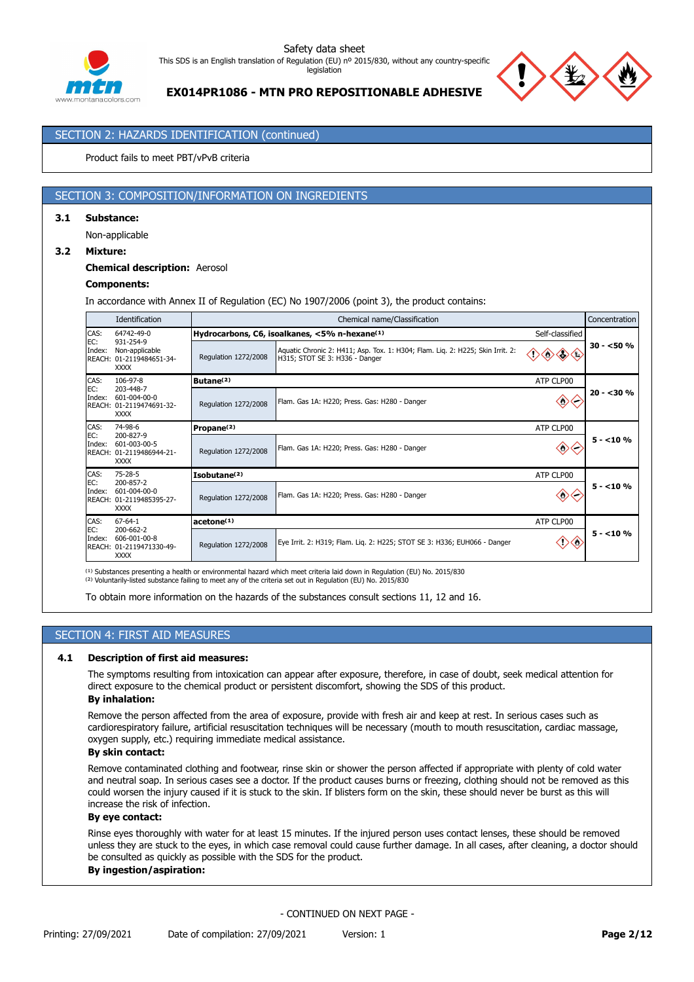

# **EX014PR1086 - MTN PRO REPOSITIONABLE ADHESIVE**

# SECTION 2: HAZARDS IDENTIFICATION (continued)

Product fails to meet PBT/vPvB criteria

# SECTION 3: COMPOSITION/INFORMATION ON INGREDIENTS

### **3.1 Substance:**

Non-applicable

### **3.2 Mixture:**

### **Chemical description:** Aerosol

### **Components:**

In accordance with Annex II of Regulation (EC) No 1907/2006 (point 3), the product contains:

|               | Identification                                                                               |                          | Chemical name/Classification                                                                                     |                   |              |  |  |
|---------------|----------------------------------------------------------------------------------------------|--------------------------|------------------------------------------------------------------------------------------------------------------|-------------------|--------------|--|--|
| CAS:<br>EC:   | 64742-49-0<br>931-254-9                                                                      |                          | Hydrocarbons, C6, isoalkanes, <5% n-hexane(1)<br>Self-classified                                                 |                   |              |  |  |
| Index:        | Non-applicable<br>REACH: 01-2119484651-34-<br><b>XXXX</b>                                    | Regulation 1272/2008     | Aquatic Chronic 2: H411; Asp. Tox. 1: H304; Flam. Liq. 2: H225; Skin Irrit. 2:<br>H315; STOT SE 3: H336 - Danger | > S               | $30 - 50 \%$ |  |  |
| CAS:          | 106-97-8                                                                                     | Butane <sup>(2)</sup>    |                                                                                                                  | ATP CLP00         |              |  |  |
| EC:<br>Index: | 203-448-7<br>601-004-00-0<br>REACH: 01-2119474691-32-<br><b>XXXX</b>                         | Regulation 1272/2008     | Flam. Gas 1A: H220; Press. Gas: H280 - Danger                                                                    | ◇                 | $20 - 30%$   |  |  |
| CAS:          | 74-98-6                                                                                      | Propane <sup>(2)</sup>   |                                                                                                                  | ATP CLP00         |              |  |  |
| EC:<br>Index: | 200-827-9<br>601-003-00-5<br>REACH: 01-2119486944-21-<br><b>XXXX</b>                         | Regulation 1272/2008     | Flam. Gas 1A: H220; Press. Gas: H280 - Danger                                                                    | $\Leftrightarrow$ | $5 - 10%$    |  |  |
| CAS:          | $75 - 28 - 5$                                                                                | Isobutane <sup>(2)</sup> |                                                                                                                  | ATP CLP00         |              |  |  |
| EC:<br>Index: | 200-857-2<br>601-004-00-0<br>Regulation 1272/2008<br>REACH: 01-2119485395-27-<br><b>XXXX</b> |                          | $\Leftrightarrow$<br>Flam. Gas 1A: H220; Press. Gas: H280 - Danger                                               |                   | $5 - 10%$    |  |  |
| CAS:          | $67 - 64 - 1$<br>200-662-2                                                                   | acetone <sup>(1)</sup>   |                                                                                                                  | ATP CLP00         |              |  |  |
| EC:<br>Index: | 606-001-00-8<br>REACH: 01-2119471330-49-<br><b>XXXX</b>                                      | Regulation 1272/2008     | Eye Irrit. 2: H319; Flam. Lig. 2: H225; STOT SE 3: H336; EUH066 - Danger                                         | 〈^                | $5 - 10%$    |  |  |

<sup>(1)</sup> Substances presenting a health or environmental hazard which meet criteria laid down in Regulation (EU) No. 2015/830 <sup>(2)</sup> Voluntarily-listed substance failing to meet any of the criteria set out in Regulation (EU) No. 2015/830

To obtain more information on the hazards of the substances consult sections 11, 12 and 16.

# SECTION 4: FIRST AID MEASURES

## **4.1 Description of first aid measures:**

The symptoms resulting from intoxication can appear after exposure, therefore, in case of doubt, seek medical attention for direct exposure to the chemical product or persistent discomfort, showing the SDS of this product.

#### **By inhalation:**

Remove the person affected from the area of exposure, provide with fresh air and keep at rest. In serious cases such as cardiorespiratory failure, artificial resuscitation techniques will be necessary (mouth to mouth resuscitation, cardiac massage, oxygen supply, etc.) requiring immediate medical assistance.

### **By skin contact:**

Remove contaminated clothing and footwear, rinse skin or shower the person affected if appropriate with plenty of cold water and neutral soap. In serious cases see a doctor. If the product causes burns or freezing, clothing should not be removed as this could worsen the injury caused if it is stuck to the skin. If blisters form on the skin, these should never be burst as this will increase the risk of infection.

### **By eye contact:**

Rinse eyes thoroughly with water for at least 15 minutes. If the injured person uses contact lenses, these should be removed unless they are stuck to the eyes, in which case removal could cause further damage. In all cases, after cleaning, a doctor should be consulted as quickly as possible with the SDS for the product.

### **By ingestion/aspiration:**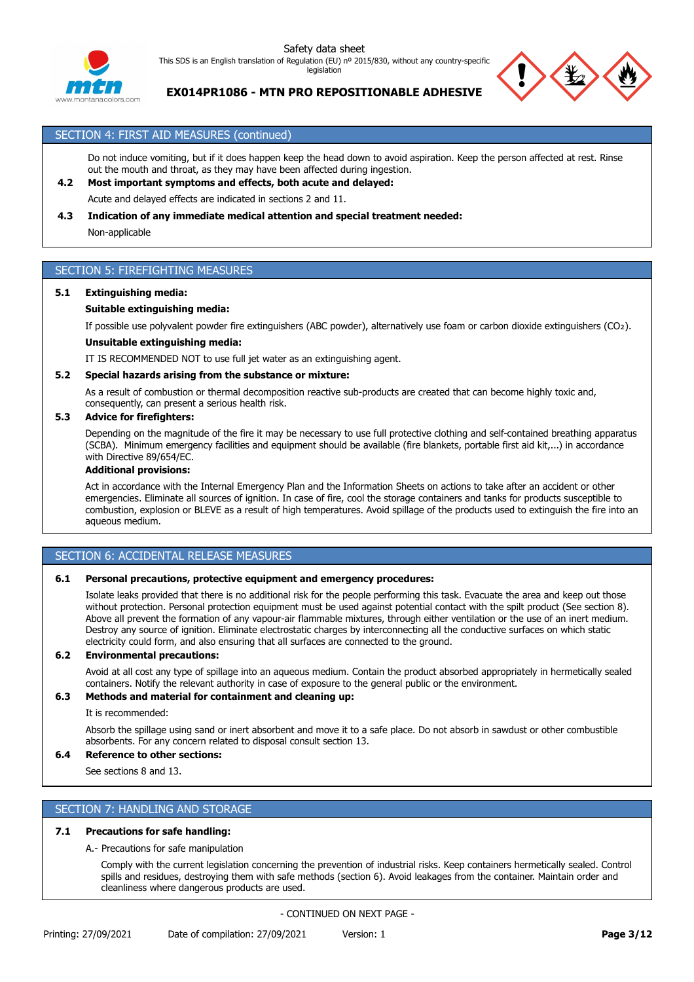

legislation



**EX014PR1086 - MTN PRO REPOSITIONABLE ADHESIVE**

# SECTION 4: FIRST AID MEASURES (continued)

Do not induce vomiting, but if it does happen keep the head down to avoid aspiration. Keep the person affected at rest. Rinse out the mouth and throat, as they may have been affected during ingestion.

# **4.2 Most important symptoms and effects, both acute and delayed:**

Acute and delayed effects are indicated in sections 2 and 11.

### **4.3 Indication of any immediate medical attention and special treatment needed:**

Non-applicable

# SECTION 5: FIREFIGHTING MEASURES

### **5.1 Extinguishing media:**

### **Suitable extinguishing media:**

If possible use polyvalent powder fire extinguishers (ABC powder), alternatively use foam or carbon dioxide extinguishers (CO₂).

### **Unsuitable extinguishing media:**

IT IS RECOMMENDED NOT to use full jet water as an extinguishing agent.

### **5.2 Special hazards arising from the substance or mixture:**

As a result of combustion or thermal decomposition reactive sub-products are created that can become highly toxic and, consequently, can present a serious health risk.

### **5.3 Advice for firefighters:**

Depending on the magnitude of the fire it may be necessary to use full protective clothing and self-contained breathing apparatus (SCBA). Minimum emergency facilities and equipment should be available (fire blankets, portable first aid kit,...) in accordance with Directive 89/654/EC.

#### **Additional provisions:**

Act in accordance with the Internal Emergency Plan and the Information Sheets on actions to take after an accident or other emergencies. Eliminate all sources of ignition. In case of fire, cool the storage containers and tanks for products susceptible to combustion, explosion or BLEVE as a result of high temperatures. Avoid spillage of the products used to extinguish the fire into an aqueous medium.

# SECTION 6: ACCIDENTAL RELEASE MEASURES

### **6.1 Personal precautions, protective equipment and emergency procedures:**

Isolate leaks provided that there is no additional risk for the people performing this task. Evacuate the area and keep out those without protection. Personal protection equipment must be used against potential contact with the spilt product (See section 8). Above all prevent the formation of any vapour-air flammable mixtures, through either ventilation or the use of an inert medium. Destroy any source of ignition. Eliminate electrostatic charges by interconnecting all the conductive surfaces on which static electricity could form, and also ensuring that all surfaces are connected to the ground.

# **6.2 Environmental precautions:**

Avoid at all cost any type of spillage into an aqueous medium. Contain the product absorbed appropriately in hermetically sealed containers. Notify the relevant authority in case of exposure to the general public or the environment.

### **6.3 Methods and material for containment and cleaning up:**

It is recommended:

Absorb the spillage using sand or inert absorbent and move it to a safe place. Do not absorb in sawdust or other combustible absorbents. For any concern related to disposal consult section 13.

# **6.4 Reference to other sections:**

See sections 8 and 13.

# SECTION 7: HANDLING AND STORAGE

### **7.1 Precautions for safe handling:**

### A.- Precautions for safe manipulation

Comply with the current legislation concerning the prevention of industrial risks. Keep containers hermetically sealed. Control spills and residues, destroying them with safe methods (section 6). Avoid leakages from the container. Maintain order and cleanliness where dangerous products are used.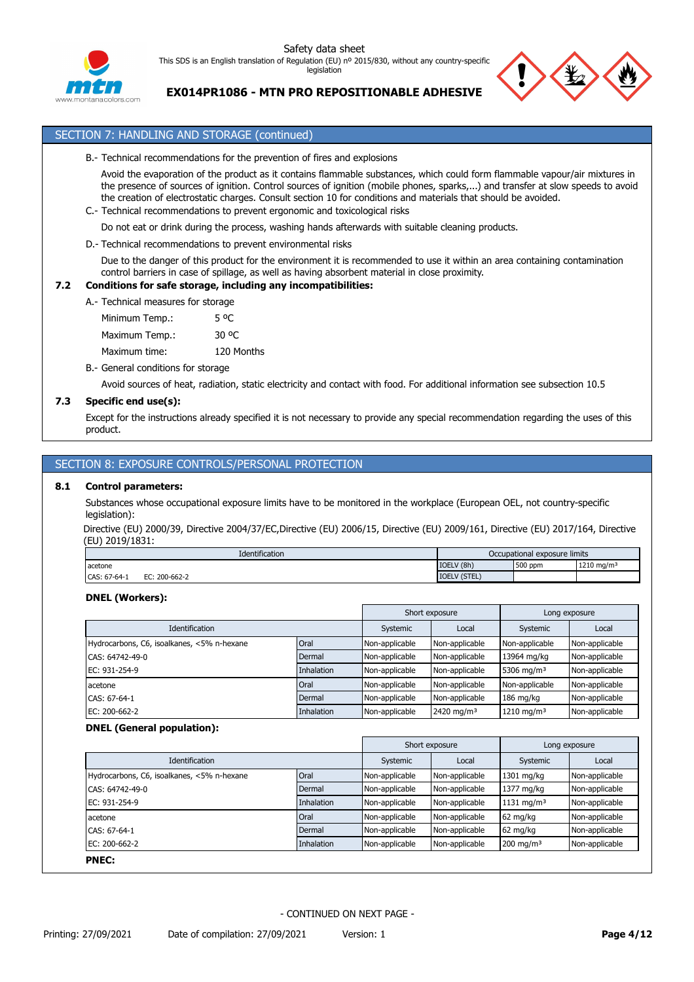

# **EX014PR1086 - MTN PRO REPOSITIONABLE ADHESIVE**

# SECTION 7: HANDLING AND STORAGE (continued)

B.- Technical recommendations for the prevention of fires and explosions

Avoid the evaporation of the product as it contains flammable substances, which could form flammable vapour/air mixtures in the presence of sources of ignition. Control sources of ignition (mobile phones, sparks,...) and transfer at slow speeds to avoid the creation of electrostatic charges. Consult section 10 for conditions and materials that should be avoided.

C.- Technical recommendations to prevent ergonomic and toxicological risks

Do not eat or drink during the process, washing hands afterwards with suitable cleaning products.

D.- Technical recommendations to prevent environmental risks

Due to the danger of this product for the environment it is recommended to use it within an area containing contamination control barriers in case of spillage, as well as having absorbent material in close proximity.

# **7.2 Conditions for safe storage, including any incompatibilities:**

| A.- Technical measures for storage |                  |
|------------------------------------|------------------|
| Minimum Temp.:                     | 5 <sup>o</sup> C |
| Maximum Temp.:                     | 30 OC            |
| Maximum time:                      | 120 Months       |
|                                    |                  |

B.- General conditions for storage

Avoid sources of heat, radiation, static electricity and contact with food. For additional information see subsection 10.5

### **7.3 Specific end use(s):**

Except for the instructions already specified it is not necessary to provide any special recommendation regarding the uses of this product.

# SECTION 8: EXPOSURE CONTROLS/PERSONAL PROTECTION

### **8.1 Control parameters:**

Substances whose occupational exposure limits have to be monitored in the workplace (European OEL, not country-specific legislation):

Directive (EU) 2000/39, Directive 2004/37/EC,Directive (EU) 2006/15, Directive (EU) 2009/161, Directive (EU) 2017/164, Directive (EU) 2019/1831:

|              | Identification   | Occupational exposure limits |         |                        |
|--------------|------------------|------------------------------|---------|------------------------|
| acetone      |                  | IOELV (8h)                   | 500 ppm | 1210 mg/m <sup>3</sup> |
| CAS: 67-64-1 | 200-662-2<br>EC: | (STEL<br><b>IOEL</b>         |         |                        |

### **DNEL (Workers):**

|                                            |                   | Short exposure<br>Long exposure |                        |                        |                |
|--------------------------------------------|-------------------|---------------------------------|------------------------|------------------------|----------------|
| <b>Identification</b>                      | Systemic          | Local                           | Systemic               | Local                  |                |
| Hydrocarbons, C6, isoalkanes, <5% n-hexane | Oral              | Non-applicable                  | Non-applicable         | Non-applicable         | Non-applicable |
| CAS: 64742-49-0                            | Dermal            | Non-applicable                  | Non-applicable         | 13964 mg/kg            | Non-applicable |
| EC: 931-254-9                              | <b>Inhalation</b> | Non-applicable                  | Non-applicable         | 5306 mg/m <sup>3</sup> | Non-applicable |
| acetone                                    | Oral              | Non-applicable                  | Non-applicable         | Non-applicable         | Non-applicable |
| CAS: 67-64-1                               | Dermal            | Non-applicable                  | Non-applicable         | 186 mg/kg              | Non-applicable |
| EC: 200-662-2                              | <b>Inhalation</b> | Non-applicable                  | 2420 mg/m <sup>3</sup> | 1210 mg/m <sup>3</sup> | Non-applicable |

### **DNEL (General population):**

|                                            |            |                | Short exposure | Long exposure          |                |
|--------------------------------------------|------------|----------------|----------------|------------------------|----------------|
| Identification                             |            | Systemic       | Local          | Systemic               | Local          |
| Hydrocarbons, C6, isoalkanes, <5% n-hexane | Oral       | Non-applicable | Non-applicable | 1301 mg/kg             | Non-applicable |
| CAS: 64742-49-0                            | Dermal     | Non-applicable | Non-applicable | 1377 mg/kg             | Non-applicable |
| EC: 931-254-9                              | Inhalation | Non-applicable | Non-applicable | 1131 mg/m <sup>3</sup> | Non-applicable |
| acetone                                    | Oral       | Non-applicable | Non-applicable | $62 \text{ mg/kg}$     | Non-applicable |
| CAS: 67-64-1                               | Dermal     | Non-applicable | Non-applicable | $62 \text{ mg/kg}$     | Non-applicable |
| EC: 200-662-2<br>Inhalation                |            | Non-applicable | Non-applicable | $200 \text{ mg/m}^3$   | Non-applicable |
| <b>PNEC:</b>                               |            |                |                |                        |                |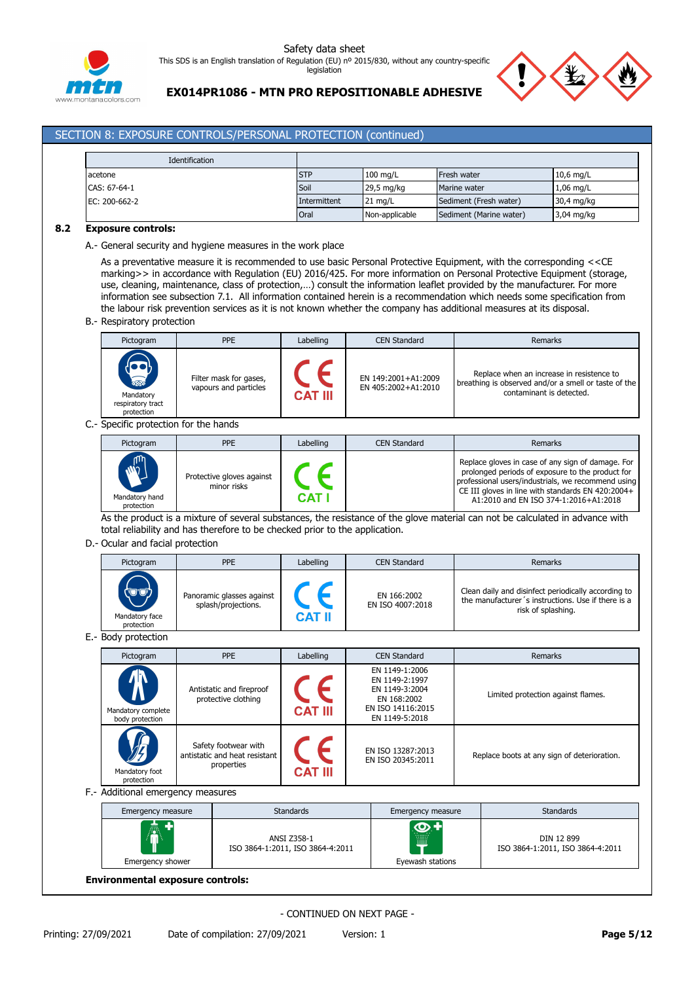



**EX014PR1086 - MTN PRO REPOSITIONABLE ADHESIVE**

# SECTION 8: EXPOSURE CONTROLS/PERSONAL PROTECTION (continued)

| Identification |              |                      |                         |                      |
|----------------|--------------|----------------------|-------------------------|----------------------|
| acetone        | <b>STP</b>   | $100$ mg/L           | Fresh water             | $10,6$ mg/L          |
| CAS: 67-64-1   | Soil         | $29,5 \text{ mg/kg}$ | Marine water            | $1,06$ mg/L          |
| EC: 200-662-2  | Intermittent | $21 \text{ mg/L}$    | Sediment (Fresh water)  | $30,4 \text{ mg/kg}$ |
|                | Oral         | Non-applicable       | Sediment (Marine water) | $3,04 \text{ mg/kg}$ |

### **8.2 Exposure controls:**

A.- General security and hygiene measures in the work place

As a preventative measure it is recommended to use basic Personal Protective Equipment, with the corresponding <<CE marking>> in accordance with Regulation (EU) 2016/425. For more information on Personal Protective Equipment (storage, use, cleaning, maintenance, class of protection,…) consult the information leaflet provided by the manufacturer. For more information see subsection 7.1. All information contained herein is a recommendation which needs some specification from the labour risk prevention services as it is not known whether the company has additional measures at its disposal.

B.- Respiratory protection

| Pictogram                                                     | <b>PPE</b>                                      | Labelling      | <b>CEN Standard</b>                        | Remarks                                                                                                                       |
|---------------------------------------------------------------|-------------------------------------------------|----------------|--------------------------------------------|-------------------------------------------------------------------------------------------------------------------------------|
| <b>Report</b><br>Mandatory<br>respiratory tract<br>protection | Filter mask for gases,<br>vapours and particles | <b>CAT III</b> | EN 149:2001+A1:2009<br>EN 405:2002+A1:2010 | Replace when an increase in resistence to<br>breathing is observed and/or a smell or taste of the<br>contaminant is detected. |

C.- Specific protection for the hands

| Pictogram                                            | <b>PPE</b>                               | Labelling | CEN Standard | Remarks                                                                                                                                                                                                                                                   |
|------------------------------------------------------|------------------------------------------|-----------|--------------|-----------------------------------------------------------------------------------------------------------------------------------------------------------------------------------------------------------------------------------------------------------|
| <b>M<sub>m</sub></b><br>Mandatory hand<br>protection | Protective gloves against<br>minor risks | CAT       |              | Replace gloves in case of any sign of damage. For<br>prolonged periods of exposure to the product for<br>professional users/industrials, we recommend using<br>CE III gloves in line with standards EN 420:2004+<br>A1:2010 and EN ISO 374-1:2016+A1:2018 |

As the product is a mixture of several substances, the resistance of the glove material can not be calculated in advance with total reliability and has therefore to be checked prior to the application.

### D.- Ocular and facial protection

| Pictogram                            | <b>PPE</b>                                       | Labelling | <b>CEN Standard</b>             | Remarks                                                                                                                         |
|--------------------------------------|--------------------------------------------------|-----------|---------------------------------|---------------------------------------------------------------------------------------------------------------------------------|
| (UV)<br>Mandatory face<br>protection | Panoramic glasses against<br>splash/projections. | CAT II    | EN 166:2002<br>EN ISO 4007:2018 | Clean daily and disinfect periodically according to<br>the manufacturer's instructions. Use if there is a<br>risk of splashing. |

E.- Body protection

| Pictogram                             | <b>PPE</b>                                                          | Labelling      | <b>CEN Standard</b>                                                                                      | Remarks                                     |
|---------------------------------------|---------------------------------------------------------------------|----------------|----------------------------------------------------------------------------------------------------------|---------------------------------------------|
| Mandatory complete<br>body protection | Antistatic and fireproof<br>protective clothing                     | <b>CAT III</b> | EN 1149-1:2006<br>EN 1149-2:1997<br>EN 1149-3:2004<br>EN 168:2002<br>EN ISO 14116:2015<br>EN 1149-5:2018 | Limited protection against flames.          |
| Mandatory foot<br>protection          | Safety footwear with<br>antistatic and heat resistant<br>properties | <b>CAT III</b> | EN ISO 13287:2013<br>EN ISO 20345:2011                                                                   | Replace boots at any sign of deterioration. |

F.- Additional emergency measures

| Emergency measure                       | <b>Standards</b>                                | Emergency measure       | <b>Standards</b>                               |  |  |
|-----------------------------------------|-------------------------------------------------|-------------------------|------------------------------------------------|--|--|
| ÷<br>凰                                  | ANSI Z358-1<br>ISO 3864-1:2011, ISO 3864-4:2011 | <b>KOF</b><br><br><br>m | DIN 12 899<br>ISO 3864-1:2011, ISO 3864-4:2011 |  |  |
| Eyewash stations<br>Emergency shower    |                                                 |                         |                                                |  |  |
| <b>Environmental exposure controls:</b> |                                                 |                         |                                                |  |  |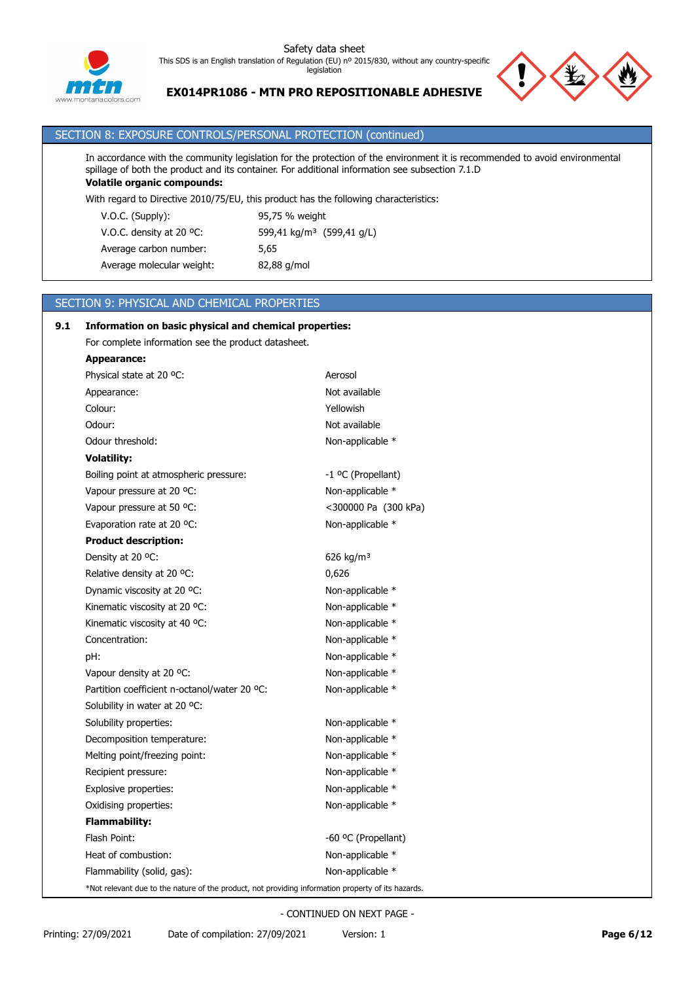

# **EX014PR1086 - MTN PRO REPOSITIONABLE ADHESIVE**

# SECTION 8: EXPOSURE CONTROLS/PERSONAL PROTECTION (continued)

In accordance with the community legislation for the protection of the environment it is recommended to avoid environmental spillage of both the product and its container. For additional information see subsection 7.1.D **Volatile organic compounds:**

With regard to Directive 2010/75/EU, this product has the following characteristics:

V.O.C. (Supply): 95,75 % weight V.O.C. density at 20 °C: 599,41 kg/m<sup>3</sup> (599,41 g/L) Average carbon number: 5,65 Average molecular weight: 82,88 g/mol

# SECTION 9: PHYSICAL AND CHEMICAL PROPERTIES

| 9.1 | Information on basic physical and chemical properties:                                             |                       |  |
|-----|----------------------------------------------------------------------------------------------------|-----------------------|--|
|     | For complete information see the product datasheet.                                                |                       |  |
|     | Appearance:                                                                                        |                       |  |
|     | Physical state at 20 °C:                                                                           | Aerosol               |  |
|     | Appearance:                                                                                        | Not available         |  |
|     | Colour:                                                                                            | Yellowish             |  |
|     | Odour:                                                                                             | Not available         |  |
|     | Odour threshold:                                                                                   | Non-applicable *      |  |
|     | <b>Volatility:</b>                                                                                 |                       |  |
|     | Boiling point at atmospheric pressure:                                                             | -1 °C (Propellant)    |  |
|     | Vapour pressure at 20 °C:                                                                          | Non-applicable *      |  |
|     | Vapour pressure at 50 °C:                                                                          | <300000 Pa (300 kPa)  |  |
|     | Evaporation rate at 20 °C:                                                                         | Non-applicable *      |  |
|     | <b>Product description:</b>                                                                        |                       |  |
|     | Density at 20 °C:                                                                                  | 626 kg/m <sup>3</sup> |  |
|     | Relative density at 20 °C.                                                                         | 0,626                 |  |
|     | Dynamic viscosity at 20 °C:                                                                        | Non-applicable *      |  |
|     | Kinematic viscosity at 20 °C:                                                                      | Non-applicable *      |  |
|     | Kinematic viscosity at 40 °C:                                                                      | Non-applicable *      |  |
|     | Concentration:                                                                                     | Non-applicable *      |  |
|     | pH:                                                                                                | Non-applicable *      |  |
|     | Vapour density at 20 °C:                                                                           | Non-applicable *      |  |
|     | Partition coefficient n-octanol/water 20 °C:                                                       | Non-applicable *      |  |
|     | Solubility in water at 20 °C:                                                                      |                       |  |
|     | Solubility properties:                                                                             | Non-applicable *      |  |
|     | Decomposition temperature:                                                                         | Non-applicable *      |  |
|     | Melting point/freezing point:                                                                      | Non-applicable *      |  |
|     | Recipient pressure:                                                                                | Non-applicable *      |  |
|     | Explosive properties:                                                                              | Non-applicable *      |  |
|     | Oxidising properties:                                                                              | Non-applicable *      |  |
|     | <b>Flammability:</b>                                                                               |                       |  |
|     | Flash Point:                                                                                       | -60 °C (Propellant)   |  |
|     | Heat of combustion:                                                                                | Non-applicable *      |  |
|     | Flammability (solid, gas):                                                                         | Non-applicable *      |  |
|     | *Not relevant due to the nature of the product, not providing information property of its hazards. |                       |  |

- CONTINUED ON NEXT PAGE -

Printing: 27/09/2021 Date of compilation: 27/09/2021 Version: 1 **Page 6/12**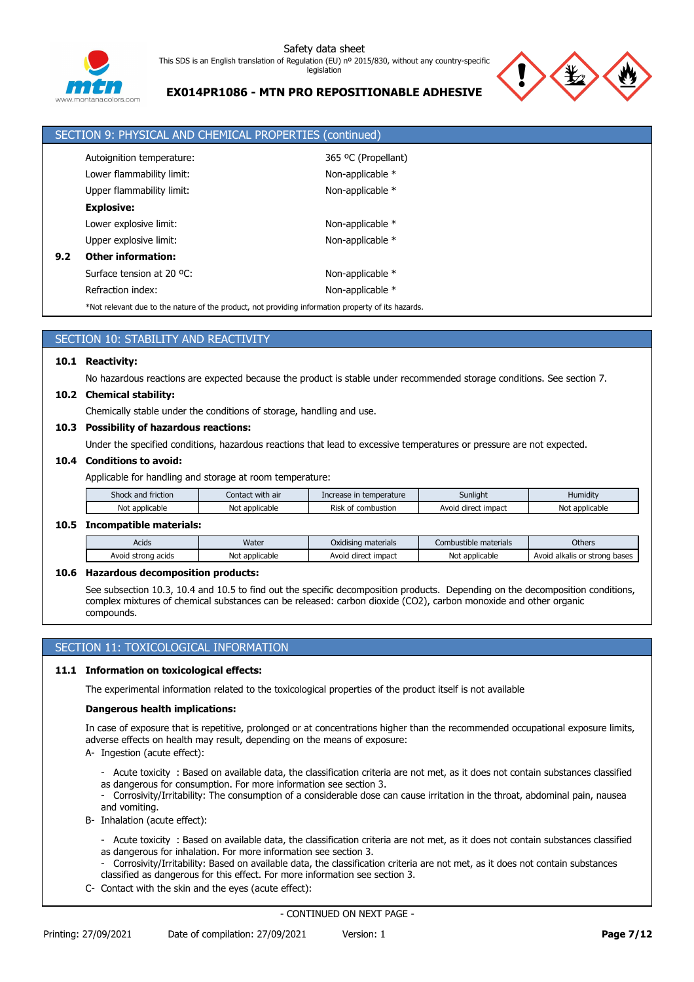

# **EX014PR1086 - MTN PRO REPOSITIONABLE ADHESIVE**



|     | SECTION 9: PHYSICAL AND CHEMICAL PROPERTIES (continued)                                            |                     |  |  |  |  |
|-----|----------------------------------------------------------------------------------------------------|---------------------|--|--|--|--|
|     | Autoignition temperature:                                                                          | 365 °C (Propellant) |  |  |  |  |
|     | Lower flammability limit:                                                                          | Non-applicable *    |  |  |  |  |
|     | Upper flammability limit:                                                                          | Non-applicable *    |  |  |  |  |
|     | <b>Explosive:</b>                                                                                  |                     |  |  |  |  |
|     | Lower explosive limit:                                                                             | Non-applicable *    |  |  |  |  |
|     | Upper explosive limit:                                                                             | Non-applicable *    |  |  |  |  |
| 9.2 | <b>Other information:</b>                                                                          |                     |  |  |  |  |
|     | Surface tension at 20 °C:                                                                          | Non-applicable *    |  |  |  |  |
|     | Refraction index:                                                                                  | Non-applicable *    |  |  |  |  |
|     | *Not relevant due to the nature of the product, not providing information property of its hazards. |                     |  |  |  |  |

# SECTION 10: STABILITY AND REACTIVITY

### **10.1 Reactivity:**

No hazardous reactions are expected because the product is stable under recommended storage conditions. See section 7.

### **10.2 Chemical stability:**

Chemically stable under the conditions of storage, handling and use.

# **10.3 Possibility of hazardous reactions:**

Under the specified conditions, hazardous reactions that lead to excessive temperatures or pressure are not expected.

### **10.4 Conditions to avoid:**

Applicable for handling and storage at room temperature:

| friction<br>Shock.<br>and | <br>Contact with air | emperature<br><b>TO</b>  | Sunlight                 | <br>Humiditv     |
|---------------------------|----------------------|--------------------------|--------------------------|------------------|
| Not<br>: applicable       | Not<br>applicable    | Risk<br>combustion<br>nt | impact<br>Avoio<br>direc | No<br>applicable |

#### **10.5 Incompatible materials:**

| Acids                 | Water          | $\cdots$<br>Oxidising materials | Combustible materials | <b>Others</b>                    |
|-----------------------|----------------|---------------------------------|-----------------------|----------------------------------|
| Avoid strong<br>acids | Not applicable | * impact<br>Avoid direct        | Not applicable        | Avoid alkalis or strong<br>bases |

### **10.6 Hazardous decomposition products:**

See subsection 10.3, 10.4 and 10.5 to find out the specific decomposition products. Depending on the decomposition conditions, complex mixtures of chemical substances can be released: carbon dioxide (CO2), carbon monoxide and other organic compounds.

# SECTION 11: TOXICOLOGICAL INFORMATION

### **11.1 Information on toxicological effects:**

The experimental information related to the toxicological properties of the product itself is not available

#### **Dangerous health implications:**

In case of exposure that is repetitive, prolonged or at concentrations higher than the recommended occupational exposure limits, adverse effects on health may result, depending on the means of exposure:

- A- Ingestion (acute effect):
	- Acute toxicity : Based on available data, the classification criteria are not met, as it does not contain substances classified as dangerous for consumption. For more information see section 3.
	- Corrosivity/Irritability: The consumption of a considerable dose can cause irritation in the throat, abdominal pain, nausea and vomiting.
- B- Inhalation (acute effect):
	- Acute toxicity : Based on available data, the classification criteria are not met, as it does not contain substances classified as dangerous for inhalation. For more information see section 3.
	- Corrosivity/Irritability: Based on available data, the classification criteria are not met, as it does not contain substances classified as dangerous for this effect. For more information see section 3.
- C- Contact with the skin and the eyes (acute effect):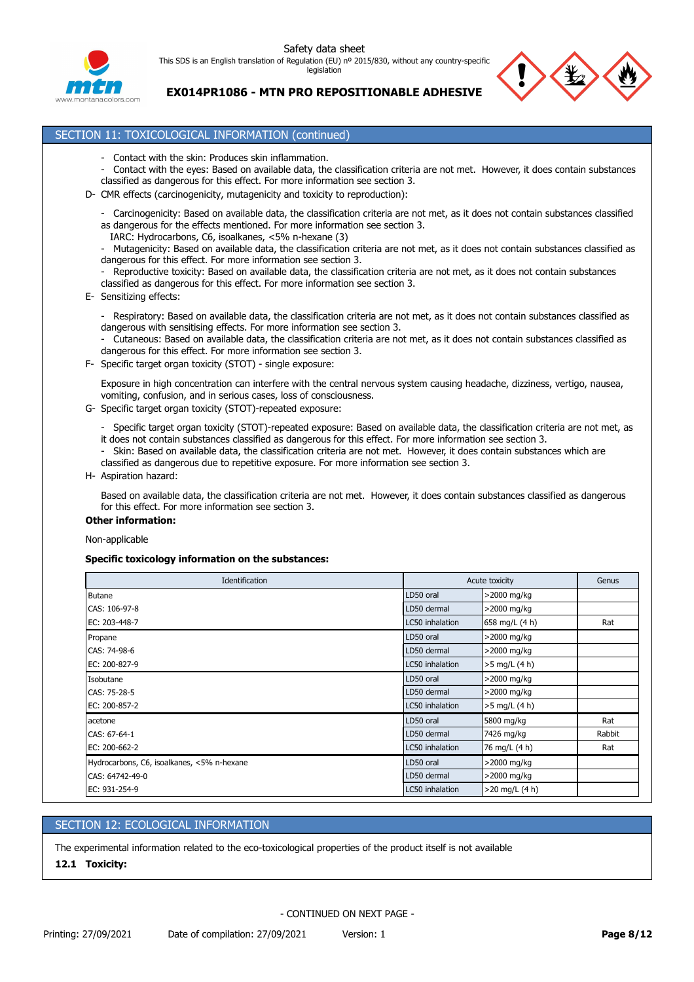



**EX014PR1086 - MTN PRO REPOSITIONABLE ADHESIVE**

# SECTION 11: TOXICOLOGICAL INFORMATION (continued)

- Contact with the skin: Produces skin inflammation.
- Contact with the eyes: Based on available data, the classification criteria are not met. However, it does contain substances classified as dangerous for this effect. For more information see section 3.
- D- CMR effects (carcinogenicity, mutagenicity and toxicity to reproduction):
	- Carcinogenicity: Based on available data, the classification criteria are not met, as it does not contain substances classified as dangerous for the effects mentioned. For more information see section 3.
	- IARC: Hydrocarbons, C6, isoalkanes, <5% n-hexane (3)
	- Mutagenicity: Based on available data, the classification criteria are not met, as it does not contain substances classified as dangerous for this effect. For more information see section 3.
	- Reproductive toxicity: Based on available data, the classification criteria are not met, as it does not contain substances classified as dangerous for this effect. For more information see section 3.
- E- Sensitizing effects:
	- Respiratory: Based on available data, the classification criteria are not met, as it does not contain substances classified as dangerous with sensitising effects. For more information see section 3.
	- Cutaneous: Based on available data, the classification criteria are not met, as it does not contain substances classified as dangerous for this effect. For more information see section 3.
- F- Specific target organ toxicity (STOT) single exposure:

Exposure in high concentration can interfere with the central nervous system causing headache, dizziness, vertigo, nausea, vomiting, confusion, and in serious cases, loss of consciousness.

- G- Specific target organ toxicity (STOT)-repeated exposure:
	- Specific target organ toxicity (STOT)-repeated exposure: Based on available data, the classification criteria are not met, as it does not contain substances classified as dangerous for this effect. For more information see section 3.
	- Skin: Based on available data, the classification criteria are not met. However, it does contain substances which are classified as dangerous due to repetitive exposure. For more information see section 3.
- H- Aspiration hazard:

Based on available data, the classification criteria are not met. However, it does contain substances classified as dangerous for this effect. For more information see section 3.

# **Other information:**

Non-applicable

#### **Specific toxicology information on the substances:**

| Identification                             |                 | Acute toxicity   |        |
|--------------------------------------------|-----------------|------------------|--------|
| Butane                                     | LD50 oral       | >2000 mg/kg      |        |
| CAS: 106-97-8                              | LD50 dermal     | >2000 mg/kg      |        |
| EC: 203-448-7                              | LC50 inhalation | 658 mg/L (4 h)   | Rat    |
| Propane                                    | LD50 oral       | >2000 mg/kg      |        |
| CAS: 74-98-6                               | LD50 dermal     | >2000 mg/kg      |        |
| EC: 200-827-9                              | LC50 inhalation | >5 mg/L (4 h)    |        |
| Isobutane                                  | LD50 oral       | >2000 mg/kg      |        |
| CAS: 75-28-5                               | LD50 dermal     | >2000 mg/kg      |        |
| EC: 200-857-2                              | LC50 inhalation | >5 mg/L (4 h)    |        |
| acetone                                    | LD50 oral       | 5800 mg/kg       | Rat    |
| CAS: 67-64-1                               | LD50 dermal     | 7426 mg/kg       | Rabbit |
| EC: 200-662-2                              | LC50 inhalation | 76 mg/L (4 h)    | Rat    |
| Hydrocarbons, C6, isoalkanes, <5% n-hexane | LD50 oral       | >2000 mg/kg      |        |
| CAS: 64742-49-0                            | LD50 dermal     | >2000 mg/kg      |        |
| EC: 931-254-9                              | LC50 inhalation | $>20$ mg/L (4 h) |        |

# SECTION 12: ECOLOGICAL INFORMATION

The experimental information related to the eco-toxicological properties of the product itself is not available

# **12.1 Toxicity:**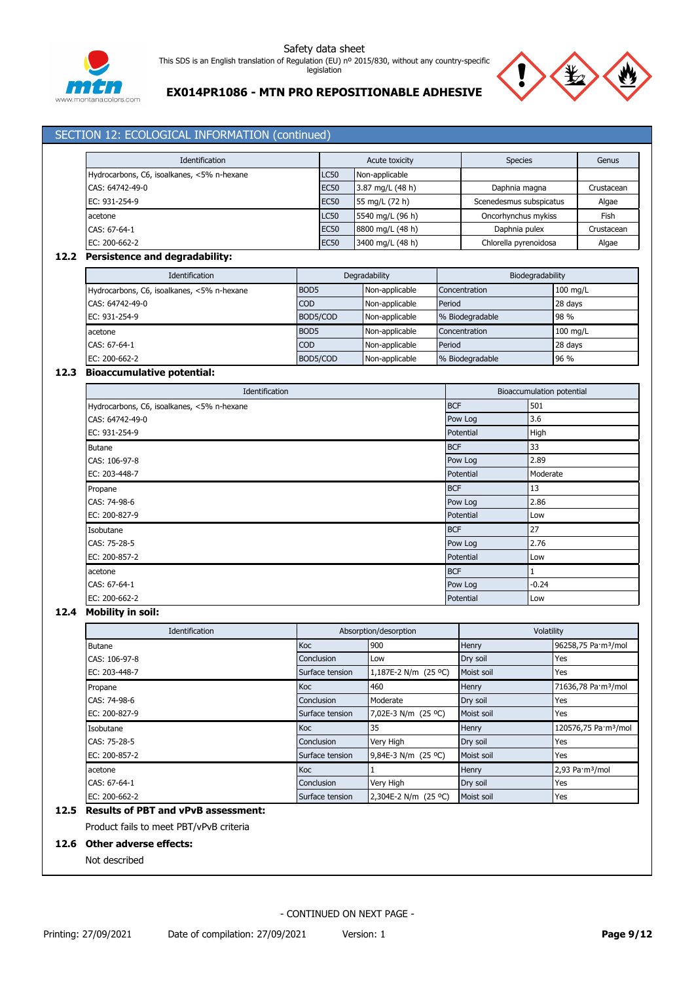



# **EX014PR1086 - MTN PRO REPOSITIONABLE ADHESIVE**

# SECTION 12: ECOLOGICAL INFORMATION (continued) Identification **Acute toxicity** Acute toxicity Species **Genus** Genus Hydrocarbons, C6, isoalkanes, <5% n-hexane LC50 Non-applicable CAS: 64742-49-0 EC50 3.87 mg/L (48 h) Daphnia magna Crustacean EC: 931-254-9 **ECSO** 55 mg/L (72 h) Scenedesmus subspicatus Algae acetone LC50 5540 mg/L (96 h) Oncorhynchus mykiss Fish CAS: 67-64-1 EC50 8800 mg/L (48 h) Daphnia pulex Crustacean EC: 200-662-2 EC50 3400 mg/L (48 h) Chlorella pyrenoidosa Algae **12.2 Persistence and degradability:** Identification **Degradability** Degradability **Degradability** Biodegradability Hydrocarbons, C6, isoalkanes, <5% n-hexane BOD5 Non-applicable Concentration 100 mg/L CAS: 64742-49-0 COD Non-applicable Period 28 days EC: 931-254-9 BOD5/COD Non-applicable % Biodegradable 98 % acetone acetone acetone BOD5 Non-applicable Concentration 100 mg/L CAS: 67-64-1 COD Non-applicable Period 28 days EC: 200-662-2 **BOD5/COD** Non-applicable % Biodegradable 96 % **12.3 Bioaccumulative potential: Identification** Bioaccumulation potential Hydrocarbons, C6, isoalkanes, <5% n-hexane BCF 501  $\text{CAS: } 64742 - 49 - 0$  3.6 EC: 931-254-9 **Potential** High Butane and the state of the state of the state of the state of the state of the state of the state of the state of the state of the state of the state of the state of the state of the state of the state of the state of the CAS: 106-97-8 Pow Log 2.89 EC: 203-448-7 **Potential Moderate** Moderate Moderate Moderate Moderate Moderate Moderate Moderate Propane and a state of the state of the state of the state of the state of the BCF in the state of the state of the state of the state of the state of the state of the state of the state of the state of the state of the st CAS: 74-98-6 Pow Log 2.86 EC: 200-827-9 Potential Low Isobutane and the set of the set of the set of the set of the set of the set of the set of the set of the set of the set of the set of the set of the set of the set of the set of the set of the set of the set of the set of CAS: 75-28-5 Pow Log 2.76 EC: 200-857-2 Potential Low acetone and the set of the set of the set of the set of the set of the set of the set of the set of the set of the set of the set of the set of the set of the set of the set of the set of the set of the set of the set of t CAS: 67-64-1 **Pow Log -0.24** Pow Log -0.24

#### **12.4 Mobility in soil:**

| Identification | Absorption/desorption |                      | Volatility |                                  |
|----------------|-----------------------|----------------------|------------|----------------------------------|
| <b>Butane</b>  | Koc                   | 900                  | Henry      | 96258,75 Pa·m <sup>3</sup> /mol  |
| CAS: 106-97-8  | Conclusion            | Low                  | Dry soil   | Yes                              |
| EC: 203-448-7  | Surface tension       | 1,187E-2 N/m (25 °C) | Moist soil | Yes                              |
| Propane        | <b>Koc</b>            | 460                  | Henry      | 71636,78 Pa·m <sup>3</sup> /mol  |
| CAS: 74-98-6   | <b>Conclusion</b>     | Moderate             | Dry soil   | Yes                              |
| EC: 200-827-9  | Surface tension       | 7,02E-3 N/m (25 °C)  | Moist soil | Yes                              |
| Isobutane      | Koc                   | 35                   | Henry      | 120576,75 Pa·m <sup>3</sup> /mol |
| CAS: 75-28-5   | Conclusion            | Very High            | Dry soil   | Yes                              |
| EC: 200-857-2  | Surface tension       | 9,84E-3 N/m (25 °C)  | Moist soil | Yes                              |
| acetone        | <b>Koc</b>            |                      | Henry      | 2,93 Pa·m <sup>3</sup> /mol      |
| CAS: 67-64-1   | Conclusion            | Very High            | Dry soil   | Yes                              |
| EC: 200-662-2  | Surface tension       | 2,304E-2 N/m (25 °C) | Moist soil | Yes                              |

EC: 200-662-2 **Potential** Low

# **12.5 Results of PBT and vPvB assessment:**

Product fails to meet PBT/vPvB criteria

#### **12.6 Other adverse effects:**

Not described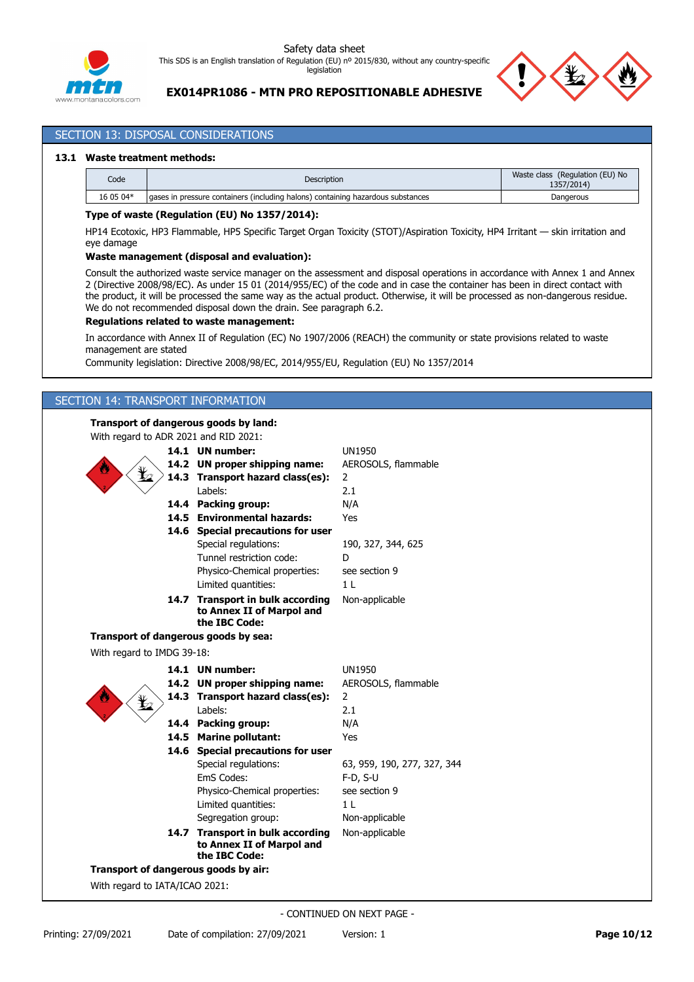



# **EX014PR1086 - MTN PRO REPOSITIONABLE ADHESIVE**

# SECTION 13: DISPOSAL CONSIDERATIONS

### **13.1 Waste treatment methods:**

| Code      | Description                                                                       | (Regulation (EU) No<br>Waste class<br>1357/2014 |
|-----------|-----------------------------------------------------------------------------------|-------------------------------------------------|
| 16 05 04* | I gases in pressure containers (including halons) containing hazardous substances | Dangerous                                       |

### **Type of waste (Regulation (EU) No 1357/2014):**

HP14 Ecotoxic, HP3 Flammable, HP5 Specific Target Organ Toxicity (STOT)/Aspiration Toxicity, HP4 Irritant — skin irritation and eye damage

### **Waste management (disposal and evaluation):**

Consult the authorized waste service manager on the assessment and disposal operations in accordance with Annex 1 and Annex 2 (Directive 2008/98/EC). As under 15 01 (2014/955/EC) of the code and in case the container has been in direct contact with the product, it will be processed the same way as the actual product. Otherwise, it will be processed as non-dangerous residue. We do not recommended disposal down the drain. See paragraph 6.2.

### **Regulations related to waste management:**

In accordance with Annex II of Regulation (EC) No 1907/2006 (REACH) the community or state provisions related to waste management are stated

Community legislation: Directive 2008/98/EC, 2014/955/EU, Regulation (EU) No 1357/2014

# SECTION 14: TRANSPORT INFORMATION

### **Transport of dangerous goods by land:**

With regard to ADR 2021 and RID 2021:

|                                | 14.1 UN number:                                                                | <b>UN1950</b>               |
|--------------------------------|--------------------------------------------------------------------------------|-----------------------------|
|                                | 14.2 UN proper shipping name:                                                  | AEROSOLS, flammable         |
|                                | 14.3 Transport hazard class(es):                                               | $\overline{2}$              |
|                                | Labels:                                                                        | 2.1                         |
|                                | 14.4 Packing group:                                                            | N/A                         |
|                                | 14.5 Environmental hazards:                                                    | Yes                         |
|                                | 14.6 Special precautions for user                                              |                             |
|                                | Special regulations:                                                           | 190, 327, 344, 625          |
|                                | Tunnel restriction code:                                                       | D                           |
|                                | Physico-Chemical properties:                                                   | see section 9               |
|                                | Limited quantities:                                                            | 1 <sub>L</sub>              |
|                                | 14.7 Transport in bulk according                                               | Non-applicable              |
|                                | to Annex II of Marpol and                                                      |                             |
|                                | the IBC Code:                                                                  |                             |
|                                | Transport of dangerous goods by sea:                                           |                             |
| With regard to IMDG 39-18:     |                                                                                |                             |
|                                | 14.1 UN number:                                                                | <b>UN1950</b>               |
|                                | 14.2 UN proper shipping name:                                                  | AEROSOLS, flammable         |
|                                | 14.3 Transport hazard class(es):                                               | $\overline{2}$              |
|                                | Labels:                                                                        | 2.1                         |
|                                | 14.4 Packing group:                                                            | N/A                         |
|                                | 14.5 Marine pollutant:                                                         | Yes                         |
|                                | 14.6 Special precautions for user                                              |                             |
|                                | Special regulations:                                                           | 63, 959, 190, 277, 327, 344 |
|                                | EmS Codes:                                                                     | $F-D, S-U$                  |
|                                | Physico-Chemical properties:                                                   | see section 9               |
|                                | Limited quantities:                                                            | 1 <sub>L</sub>              |
|                                | Segregation group:                                                             | Non-applicable              |
|                                | 14.7 Transport in bulk according<br>to Annex II of Marpol and<br>the IBC Code: | Non-applicable              |
|                                | Transport of dangerous goods by air:                                           |                             |
| With regard to IATA/ICAO 2021: |                                                                                |                             |
|                                |                                                                                |                             |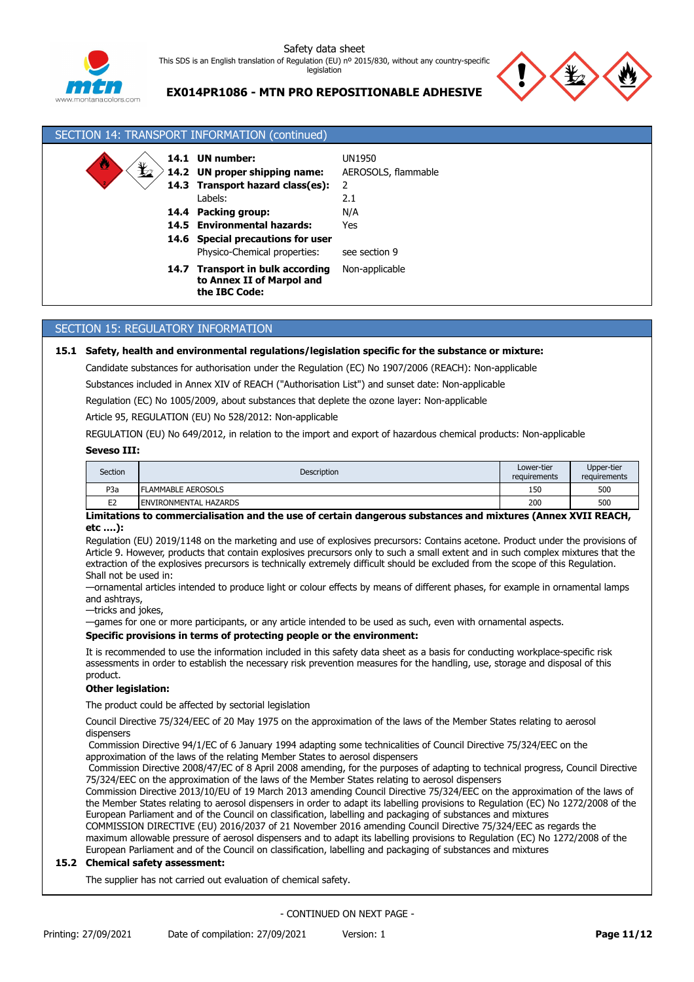



# **EX014PR1086 - MTN PRO REPOSITIONABLE ADHESIVE**

| SECTION 14: TRANSPORT INFORMATION (continued) |                                                                                                                                                                                                                       |                                                                     |  |  |  |
|-----------------------------------------------|-----------------------------------------------------------------------------------------------------------------------------------------------------------------------------------------------------------------------|---------------------------------------------------------------------|--|--|--|
| $\bigstar$<br>W<br>14.4                       | 14.1 UN number:<br>14.2 UN proper shipping name:<br>14.3 Transport hazard class(es):<br>Labels:<br>Packing group:<br>14.5 Environmental hazards:<br>14.6 Special precautions for user<br>Physico-Chemical properties: | UN1950<br>AEROSOLS, flammable<br>2.1<br>N/A<br>Yes<br>see section 9 |  |  |  |
|                                               | 14.7 Transport in bulk according<br>to Annex II of Marpol and<br>the IBC Code:                                                                                                                                        | Non-applicable                                                      |  |  |  |

# SECTION 15: REGULATORY INFORMATION

### **15.1 Safety, health and environmental regulations/legislation specific for the substance or mixture:**

Candidate substances for authorisation under the Regulation (EC) No 1907/2006 (REACH): Non-applicable

Substances included in Annex XIV of REACH ("Authorisation List") and sunset date: Non-applicable

Regulation (EC) No 1005/2009, about substances that deplete the ozone layer: Non-applicable

Article 95, REGULATION (EU) No 528/2012: Non-applicable

REGULATION (EU) No 649/2012, in relation to the import and export of hazardous chemical products: Non-applicable

#### **Seveso III:**

| Section          | Description                  | Lower-tier<br>requirements | Upper-tier<br>requirements |
|------------------|------------------------------|----------------------------|----------------------------|
| P <sub>3</sub> a | <b>FLAMMABLE AEROSOLS</b>    | 150                        | 500                        |
| E <sub>2</sub>   | <b>ENVIRONMENTAL HAZARDS</b> | 200                        | 500                        |

### **Limitations to commercialisation and the use of certain dangerous substances and mixtures (Annex XVII REACH, etc ….):**

Regulation (EU) 2019/1148 on the marketing and use of explosives precursors: Contains acetone. Product under the provisions of Article 9. However, products that contain explosives precursors only to such a small extent and in such complex mixtures that the extraction of the explosives precursors is technically extremely difficult should be excluded from the scope of this Regulation. Shall not be used in:

—ornamental articles intended to produce light or colour effects by means of different phases, for example in ornamental lamps and ashtrays,

—tricks and jokes,

—games for one or more participants, or any article intended to be used as such, even with ornamental aspects.

# **Specific provisions in terms of protecting people or the environment:**

It is recommended to use the information included in this safety data sheet as a basis for conducting workplace-specific risk assessments in order to establish the necessary risk prevention measures for the handling, use, storage and disposal of this product.

## **Other legislation:**

The product could be affected by sectorial legislation

Council Directive 75/324/EEC of 20 May 1975 on the approximation of the laws of the Member States relating to aerosol dispensers

 Commission Directive 94/1/EC of 6 January 1994 adapting some technicalities of Council Directive 75/324/EEC on the approximation of the laws of the relating Member States to aerosol dispensers

 Commission Directive 2008/47/EC of 8 April 2008 amending, for the purposes of adapting to technical progress, Council Directive 75/324/EEC on the approximation of the laws of the Member States relating to aerosol dispensers

Commission Directive 2013/10/EU of 19 March 2013 amending Council Directive 75/324/EEC on the approximation of the laws of the Member States relating to aerosol dispensers in order to adapt its labelling provisions to Regulation (EC) No 1272/2008 of the European Parliament and of the Council on classification, labelling and packaging of substances and mixtures

COMMISSION DIRECTIVE (EU) 2016/2037 of 21 November 2016 amending Council Directive 75/324/EEC as regards the maximum allowable pressure of aerosol dispensers and to adapt its labelling provisions to Regulation (EC) No 1272/2008 of the European Parliament and of the Council on classification, labelling and packaging of substances and mixtures

# **15.2 Chemical safety assessment:**

The supplier has not carried out evaluation of chemical safety.